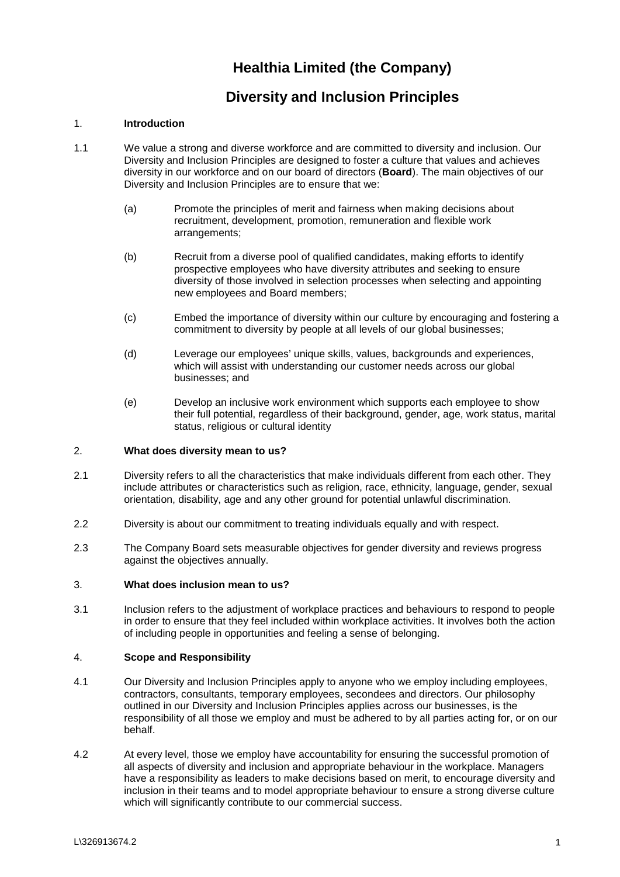# **Healthia Limited (the Company)**

# **Diversity and Inclusion Principles**

## 1. **Introduction**

- 1.1 We value a strong and diverse workforce and are committed to diversity and inclusion. Our Diversity and Inclusion Principles are designed to foster a culture that values and achieves diversity in our workforce and on our board of directors (**Board**). The main objectives of our Diversity and Inclusion Principles are to ensure that we:
	- (a) Promote the principles of merit and fairness when making decisions about recruitment, development, promotion, remuneration and flexible work arrangements;
	- (b) Recruit from a diverse pool of qualified candidates, making efforts to identify prospective employees who have diversity attributes and seeking to ensure diversity of those involved in selection processes when selecting and appointing new employees and Board members;
	- (c) Embed the importance of diversity within our culture by encouraging and fostering a commitment to diversity by people at all levels of our global businesses;
	- (d) Leverage our employees' unique skills, values, backgrounds and experiences, which will assist with understanding our customer needs across our global businesses; and
	- (e) Develop an inclusive work environment which supports each employee to show their full potential, regardless of their background, gender, age, work status, marital status, religious or cultural identity

### 2. **What does diversity mean to us?**

- 2.1 Diversity refers to all the characteristics that make individuals different from each other. They include attributes or characteristics such as religion, race, ethnicity, language, gender, sexual orientation, disability, age and any other ground for potential unlawful discrimination.
- 2.2 Diversity is about our commitment to treating individuals equally and with respect.
- 2.3 The Company Board sets measurable objectives for gender diversity and reviews progress against the objectives annually.

### 3. **What does inclusion mean to us?**

3.1 Inclusion refers to the adjustment of workplace practices and behaviours to respond to people in order to ensure that they feel included within workplace activities. It involves both the action of including people in opportunities and feeling a sense of belonging.

### 4. **Scope and Responsibility**

- 4.1 Our Diversity and Inclusion Principles apply to anyone who we employ including employees, contractors, consultants, temporary employees, secondees and directors. Our philosophy outlined in our Diversity and Inclusion Principles applies across our businesses, is the responsibility of all those we employ and must be adhered to by all parties acting for, or on our behalf.
- 4.2 At every level, those we employ have accountability for ensuring the successful promotion of all aspects of diversity and inclusion and appropriate behaviour in the workplace. Managers have a responsibility as leaders to make decisions based on merit, to encourage diversity and inclusion in their teams and to model appropriate behaviour to ensure a strong diverse culture which will significantly contribute to our commercial success.